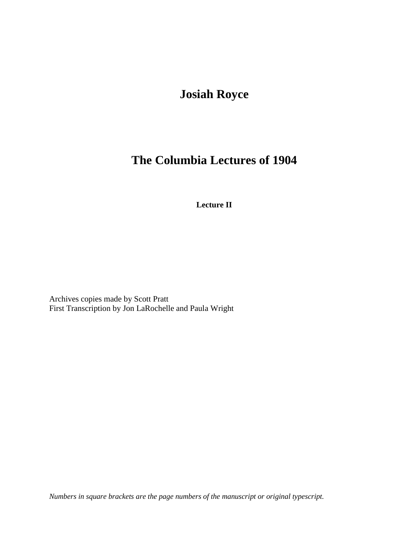## **Josiah Royce**

# **The Columbia Lectures of 1904**

**Lecture II**

Archives copies made by Scott Pratt First Transcription by Jon LaRochelle and Paula Wright

*Numbers in square brackets are the page numbers of the manuscript or original typescript.*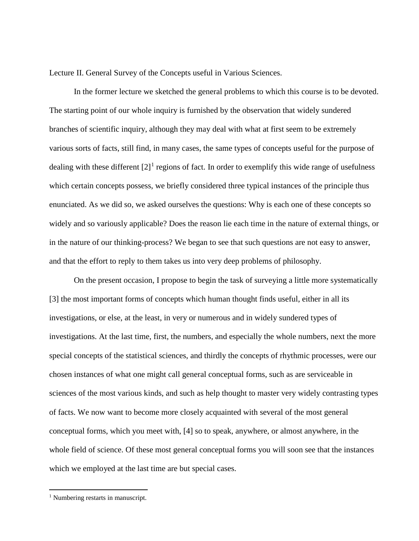Lecture II. General Survey of the Concepts useful in Various Sciences.

In the former lecture we sketched the general problems to which this course is to be devoted. The starting point of our whole inquiry is furnished by the observation that widely sundered branches of scientific inquiry, although they may deal with what at first seem to be extremely various sorts of facts, still find, in many cases, the same types of concepts useful for the purpose of dealing with these different  $[2]$ <sup>[1](#page-1-0)</sup> regions of fact. In order to exemplify this wide range of usefulness which certain concepts possess, we briefly considered three typical instances of the principle thus enunciated. As we did so, we asked ourselves the questions: Why is each one of these concepts so widely and so variously applicable? Does the reason lie each time in the nature of external things, or in the nature of our thinking-process? We began to see that such questions are not easy to answer, and that the effort to reply to them takes us into very deep problems of philosophy.

On the present occasion, I propose to begin the task of surveying a little more systematically [3] the most important forms of concepts which human thought finds useful, either in all its investigations, or else, at the least, in very or numerous and in widely sundered types of investigations. At the last time, first, the numbers, and especially the whole numbers, next the more special concepts of the statistical sciences, and thirdly the concepts of rhythmic processes, were our chosen instances of what one might call general conceptual forms, such as are serviceable in sciences of the most various kinds, and such as help thought to master very widely contrasting types of facts. We now want to become more closely acquainted with several of the most general conceptual forms, which you meet with, [4] so to speak, anywhere, or almost anywhere, in the whole field of science. Of these most general conceptual forms you will soon see that the instances which we employed at the last time are but special cases.

 $\overline{a}$ 

<span id="page-1-0"></span><sup>&</sup>lt;sup>1</sup> Numbering restarts in manuscript.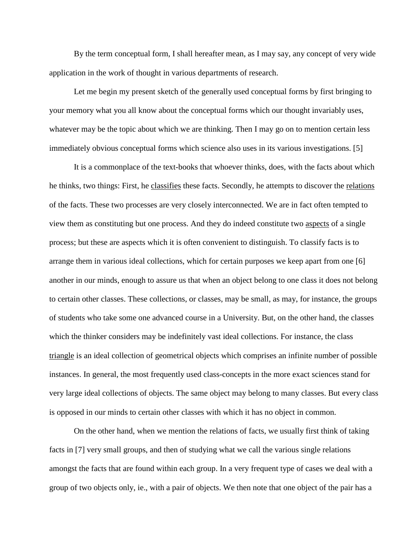By the term conceptual form, I shall hereafter mean, as I may say, any concept of very wide application in the work of thought in various departments of research.

Let me begin my present sketch of the generally used conceptual forms by first bringing to your memory what you all know about the conceptual forms which our thought invariably uses, whatever may be the topic about which we are thinking. Then I may go on to mention certain less immediately obvious conceptual forms which science also uses in its various investigations. [5]

It is a commonplace of the text-books that whoever thinks, does, with the facts about which he thinks, two things: First, he classifies these facts. Secondly, he attempts to discover the relations of the facts. These two processes are very closely interconnected. We are in fact often tempted to view them as constituting but one process. And they do indeed constitute two aspects of a single process; but these are aspects which it is often convenient to distinguish. To classify facts is to arrange them in various ideal collections, which for certain purposes we keep apart from one [6] another in our minds, enough to assure us that when an object belong to one class it does not belong to certain other classes. These collections, or classes, may be small, as may, for instance, the groups of students who take some one advanced course in a University. But, on the other hand, the classes which the thinker considers may be indefinitely vast ideal collections. For instance, the class triangle is an ideal collection of geometrical objects which comprises an infinite number of possible instances. In general, the most frequently used class-concepts in the more exact sciences stand for very large ideal collections of objects. The same object may belong to many classes. But every class is opposed in our minds to certain other classes with which it has no object in common.

On the other hand, when we mention the relations of facts, we usually first think of taking facts in [7] very small groups, and then of studying what we call the various single relations amongst the facts that are found within each group. In a very frequent type of cases we deal with a group of two objects only, ie., with a pair of objects. We then note that one object of the pair has a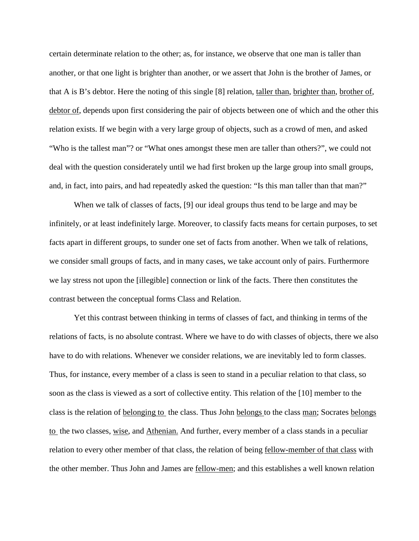certain determinate relation to the other; as, for instance, we observe that one man is taller than another, or that one light is brighter than another, or we assert that John is the brother of James, or that A is B's debtor. Here the noting of this single [8] relation, taller than, brighter than, brother of, debtor of, depends upon first considering the pair of objects between one of which and the other this relation exists. If we begin with a very large group of objects, such as a crowd of men, and asked "Who is the tallest man"? or "What ones amongst these men are taller than others?", we could not deal with the question considerately until we had first broken up the large group into small groups, and, in fact, into pairs, and had repeatedly asked the question: "Is this man taller than that man?"

When we talk of classes of facts, [9] our ideal groups thus tend to be large and may be infinitely, or at least indefinitely large. Moreover, to classify facts means for certain purposes, to set facts apart in different groups, to sunder one set of facts from another. When we talk of relations, we consider small groups of facts, and in many cases, we take account only of pairs. Furthermore we lay stress not upon the [illegible] connection or link of the facts. There then constitutes the contrast between the conceptual forms Class and Relation.

Yet this contrast between thinking in terms of classes of fact, and thinking in terms of the relations of facts, is no absolute contrast. Where we have to do with classes of objects, there we also have to do with relations. Whenever we consider relations, we are inevitably led to form classes. Thus, for instance, every member of a class is seen to stand in a peculiar relation to that class, so soon as the class is viewed as a sort of collective entity. This relation of the [10] member to the class is the relation of belonging to the class. Thus John belongs to the class man; Socrates belongs to the two classes, wise, and Athenian. And further, every member of a class stands in a peculiar relation to every other member of that class, the relation of being fellow-member of that class with the other member. Thus John and James are fellow-men; and this establishes a well known relation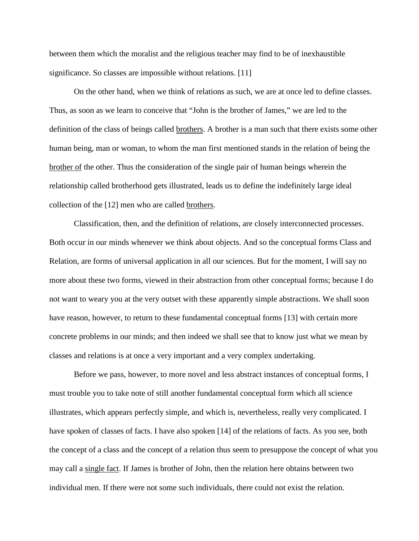between them which the moralist and the religious teacher may find to be of inexhaustible significance. So classes are impossible without relations. [11]

On the other hand, when we think of relations as such, we are at once led to define classes. Thus, as soon as we learn to conceive that "John is the brother of James," we are led to the definition of the class of beings called brothers. A brother is a man such that there exists some other human being, man or woman, to whom the man first mentioned stands in the relation of being the brother of the other. Thus the consideration of the single pair of human beings wherein the relationship called brotherhood gets illustrated, leads us to define the indefinitely large ideal collection of the [12] men who are called brothers.

Classification, then, and the definition of relations, are closely interconnected processes. Both occur in our minds whenever we think about objects. And so the conceptual forms Class and Relation, are forms of universal application in all our sciences. But for the moment, I will say no more about these two forms, viewed in their abstraction from other conceptual forms; because I do not want to weary you at the very outset with these apparently simple abstractions. We shall soon have reason, however, to return to these fundamental conceptual forms [13] with certain more concrete problems in our minds; and then indeed we shall see that to know just what we mean by classes and relations is at once a very important and a very complex undertaking.

Before we pass, however, to more novel and less abstract instances of conceptual forms, I must trouble you to take note of still another fundamental conceptual form which all science illustrates, which appears perfectly simple, and which is, nevertheless, really very complicated. I have spoken of classes of facts. I have also spoken [14] of the relations of facts. As you see, both the concept of a class and the concept of a relation thus seem to presuppose the concept of what you may call a single fact. If James is brother of John, then the relation here obtains between two individual men. If there were not some such individuals, there could not exist the relation.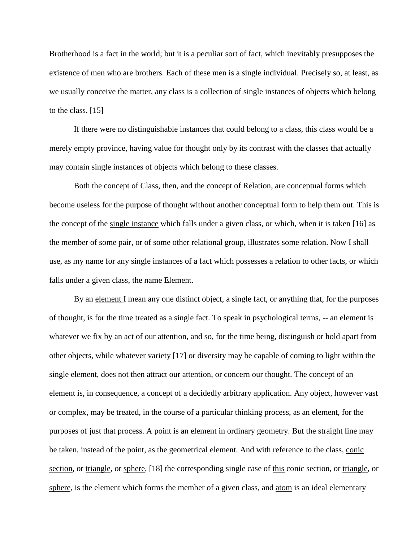Brotherhood is a fact in the world; but it is a peculiar sort of fact, which inevitably presupposes the existence of men who are brothers. Each of these men is a single individual. Precisely so, at least, as we usually conceive the matter, any class is a collection of single instances of objects which belong to the class. [15]

If there were no distinguishable instances that could belong to a class, this class would be a merely empty province, having value for thought only by its contrast with the classes that actually may contain single instances of objects which belong to these classes.

Both the concept of Class, then, and the concept of Relation, are conceptual forms which become useless for the purpose of thought without another conceptual form to help them out. This is the concept of the single instance which falls under a given class, or which, when it is taken [16] as the member of some pair, or of some other relational group, illustrates some relation. Now I shall use, as my name for any single instances of a fact which possesses a relation to other facts, or which falls under a given class, the name Element.

By an element I mean any one distinct object, a single fact, or anything that, for the purposes of thought, is for the time treated as a single fact. To speak in psychological terms, -- an element is whatever we fix by an act of our attention, and so, for the time being, distinguish or hold apart from other objects, while whatever variety [17] or diversity may be capable of coming to light within the single element, does not then attract our attention, or concern our thought. The concept of an element is, in consequence, a concept of a decidedly arbitrary application. Any object, however vast or complex, may be treated, in the course of a particular thinking process, as an element, for the purposes of just that process. A point is an element in ordinary geometry. But the straight line may be taken, instead of the point, as the geometrical element. And with reference to the class, conic section, or triangle, or sphere, [18] the corresponding single case of this conic section, or triangle, or sphere, is the element which forms the member of a given class, and atom is an ideal elementary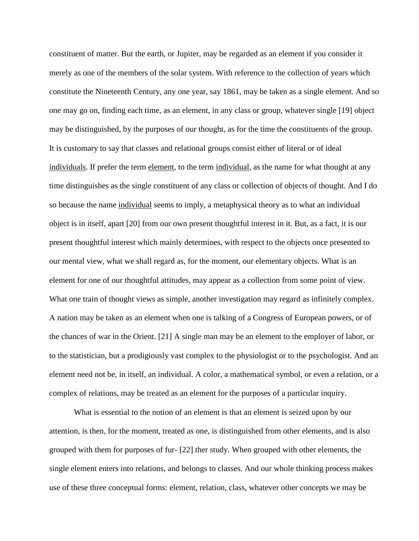constituent of matter. But the earth, or Jupiter, may be regarded as an element if you consider it merely as one of the members of the solar system. With reference to the collection of years which constitute the Nineteenth Century, any one year, say 1861, may be taken as a single element. And so one may go on, finding each time, as an element, in any class or group, whatever single [19] object may be distinguished, by the purposes of our thought, as for the time the constituents of the group. It is customary to say that classes and relational groups consist either of literal or of ideal individuals. If prefer the term element, to the term individual, as the name for what thought at any time distinguishes as the single constituent of any class or collection of objects of thought. And I do so because the name individual seems to imply, a metaphysical theory as to what an individual object is in itself, apart [20] from our own present thoughtful interest in it. But, as a fact, it is our present thoughtful interest which mainly determines, with respect to the objects once presented to our mental view, what we shall regard as, for the moment, our elementary objects. What is an element for one of our thoughtful attitudes, may appear as a collection from some point of view. What one train of thought views as simple, another investigation may regard as infinitely complex. A nation may be taken as an element when one is talking of a Congress of European powers, or of the chances of war in the Orient. [21] A single man may be an element to the employer of labor, or to the statistician, but a prodigiously vast complex to the physiologist or to the psychologist. And an element need not be, in itself, an individual. A color, a mathematical symbol, or even a relation, or a complex of relations, may be treated as an element for the purposes of a particular inquiry.

What is essential to the notion of an element is that an element is seized upon by our attention, is then, for the moment, treated as one, is distinguished from other elements, and is also grouped with them for purposes of fur- [22] ther study. When grouped with other elements, the single element enters into relations, and belongs to classes. And our whole thinking process makes use of these three conceptual forms: element, relation, class, whatever other concepts we may be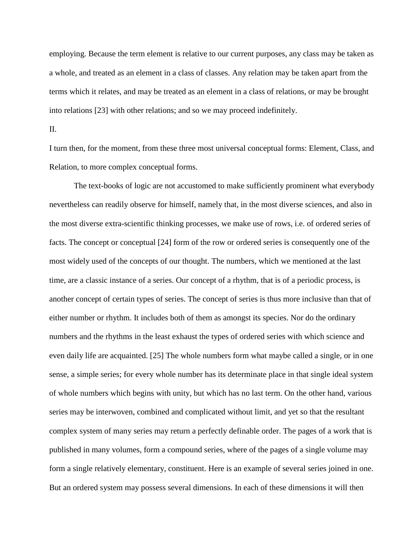employing. Because the term element is relative to our current purposes, any class may be taken as a whole, and treated as an element in a class of classes. Any relation may be taken apart from the terms which it relates, and may be treated as an element in a class of relations, or may be brought into relations [23] with other relations; and so we may proceed indefinitely.

#### II.

I turn then, for the moment, from these three most universal conceptual forms: Element, Class, and Relation, to more complex conceptual forms.

The text-books of logic are not accustomed to make sufficiently prominent what everybody nevertheless can readily observe for himself, namely that, in the most diverse sciences, and also in the most diverse extra-scientific thinking processes, we make use of rows, i.e. of ordered series of facts. The concept or conceptual [24] form of the row or ordered series is consequently one of the most widely used of the concepts of our thought. The numbers, which we mentioned at the last time, are a classic instance of a series. Our concept of a rhythm, that is of a periodic process, is another concept of certain types of series. The concept of series is thus more inclusive than that of either number or rhythm. It includes both of them as amongst its species. Nor do the ordinary numbers and the rhythms in the least exhaust the types of ordered series with which science and even daily life are acquainted. [25] The whole numbers form what maybe called a single, or in one sense, a simple series; for every whole number has its determinate place in that single ideal system of whole numbers which begins with unity, but which has no last term. On the other hand, various series may be interwoven, combined and complicated without limit, and yet so that the resultant complex system of many series may return a perfectly definable order. The pages of a work that is published in many volumes, form a compound series, where of the pages of a single volume may form a single relatively elementary, constituent. Here is an example of several series joined in one. But an ordered system may possess several dimensions. In each of these dimensions it will then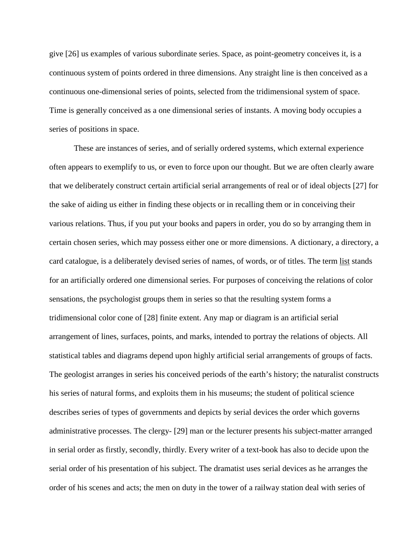give [26] us examples of various subordinate series. Space, as point-geometry conceives it, is a continuous system of points ordered in three dimensions. Any straight line is then conceived as a continuous one-dimensional series of points, selected from the tridimensional system of space. Time is generally conceived as a one dimensional series of instants. A moving body occupies a series of positions in space.

These are instances of series, and of serially ordered systems, which external experience often appears to exemplify to us, or even to force upon our thought. But we are often clearly aware that we deliberately construct certain artificial serial arrangements of real or of ideal objects [27] for the sake of aiding us either in finding these objects or in recalling them or in conceiving their various relations. Thus, if you put your books and papers in order, you do so by arranging them in certain chosen series, which may possess either one or more dimensions. A dictionary, a directory, a card catalogue, is a deliberately devised series of names, of words, or of titles. The term list stands for an artificially ordered one dimensional series. For purposes of conceiving the relations of color sensations, the psychologist groups them in series so that the resulting system forms a tridimensional color cone of [28] finite extent. Any map or diagram is an artificial serial arrangement of lines, surfaces, points, and marks, intended to portray the relations of objects. All statistical tables and diagrams depend upon highly artificial serial arrangements of groups of facts. The geologist arranges in series his conceived periods of the earth's history; the naturalist constructs his series of natural forms, and exploits them in his museums; the student of political science describes series of types of governments and depicts by serial devices the order which governs administrative processes. The clergy- [29] man or the lecturer presents his subject-matter arranged in serial order as firstly, secondly, thirdly. Every writer of a text-book has also to decide upon the serial order of his presentation of his subject. The dramatist uses serial devices as he arranges the order of his scenes and acts; the men on duty in the tower of a railway station deal with series of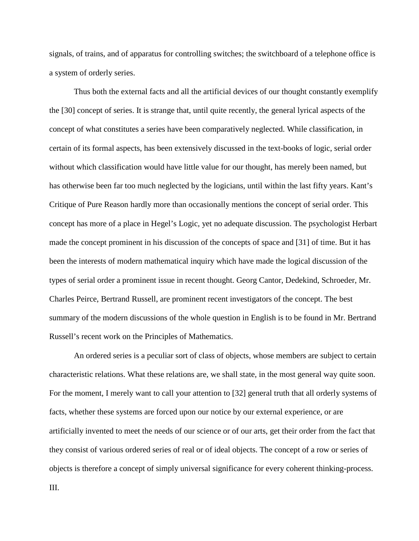signals, of trains, and of apparatus for controlling switches; the switchboard of a telephone office is a system of orderly series.

Thus both the external facts and all the artificial devices of our thought constantly exemplify the [30] concept of series. It is strange that, until quite recently, the general lyrical aspects of the concept of what constitutes a series have been comparatively neglected. While classification, in certain of its formal aspects, has been extensively discussed in the text-books of logic, serial order without which classification would have little value for our thought, has merely been named, but has otherwise been far too much neglected by the logicians, until within the last fifty years. Kant's Critique of Pure Reason hardly more than occasionally mentions the concept of serial order. This concept has more of a place in Hegel's Logic, yet no adequate discussion. The psychologist Herbart made the concept prominent in his discussion of the concepts of space and [31] of time. But it has been the interests of modern mathematical inquiry which have made the logical discussion of the types of serial order a prominent issue in recent thought. Georg Cantor, Dedekind, Schroeder, Mr. Charles Peirce, Bertrand Russell, are prominent recent investigators of the concept. The best summary of the modern discussions of the whole question in English is to be found in Mr. Bertrand Russell's recent work on the Principles of Mathematics.

An ordered series is a peculiar sort of class of objects, whose members are subject to certain characteristic relations. What these relations are, we shall state, in the most general way quite soon. For the moment, I merely want to call your attention to [32] general truth that all orderly systems of facts, whether these systems are forced upon our notice by our external experience, or are artificially invented to meet the needs of our science or of our arts, get their order from the fact that they consist of various ordered series of real or of ideal objects. The concept of a row or series of objects is therefore a concept of simply universal significance for every coherent thinking-process.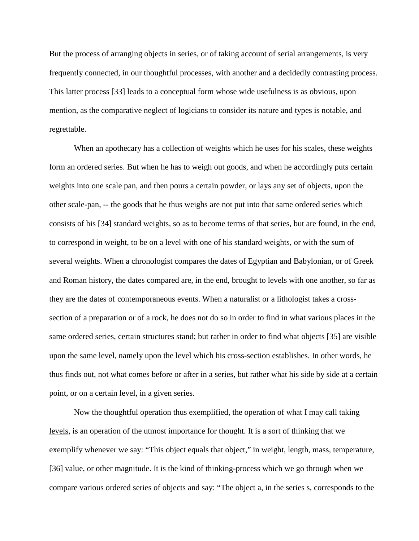But the process of arranging objects in series, or of taking account of serial arrangements, is very frequently connected, in our thoughtful processes, with another and a decidedly contrasting process. This latter process [33] leads to a conceptual form whose wide usefulness is as obvious, upon mention, as the comparative neglect of logicians to consider its nature and types is notable, and regrettable.

When an apothecary has a collection of weights which he uses for his scales, these weights form an ordered series. But when he has to weigh out goods, and when he accordingly puts certain weights into one scale pan, and then pours a certain powder, or lays any set of objects, upon the other scale-pan, -- the goods that he thus weighs are not put into that same ordered series which consists of his [34] standard weights, so as to become terms of that series, but are found, in the end, to correspond in weight, to be on a level with one of his standard weights, or with the sum of several weights. When a chronologist compares the dates of Egyptian and Babylonian, or of Greek and Roman history, the dates compared are, in the end, brought to levels with one another, so far as they are the dates of contemporaneous events. When a naturalist or a lithologist takes a crosssection of a preparation or of a rock, he does not do so in order to find in what various places in the same ordered series, certain structures stand; but rather in order to find what objects [35] are visible upon the same level, namely upon the level which his cross-section establishes. In other words, he thus finds out, not what comes before or after in a series, but rather what his side by side at a certain point, or on a certain level, in a given series.

Now the thoughtful operation thus exemplified, the operation of what I may call taking levels, is an operation of the utmost importance for thought. It is a sort of thinking that we exemplify whenever we say: "This object equals that object," in weight, length, mass, temperature, [36] value, or other magnitude. It is the kind of thinking-process which we go through when we compare various ordered series of objects and say: "The object a, in the series s, corresponds to the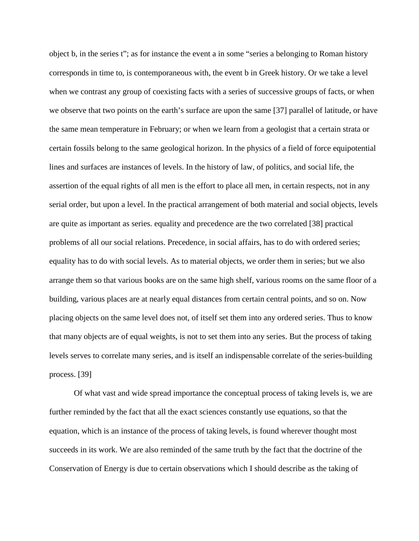object b, in the series t"; as for instance the event a in some "series a belonging to Roman history corresponds in time to, is contemporaneous with, the event b in Greek history. Or we take a level when we contrast any group of coexisting facts with a series of successive groups of facts, or when we observe that two points on the earth's surface are upon the same [37] parallel of latitude, or have the same mean temperature in February; or when we learn from a geologist that a certain strata or certain fossils belong to the same geological horizon. In the physics of a field of force equipotential lines and surfaces are instances of levels. In the history of law, of politics, and social life, the assertion of the equal rights of all men is the effort to place all men, in certain respects, not in any serial order, but upon a level. In the practical arrangement of both material and social objects, levels are quite as important as series. equality and precedence are the two correlated [38] practical problems of all our social relations. Precedence, in social affairs, has to do with ordered series; equality has to do with social levels. As to material objects, we order them in series; but we also arrange them so that various books are on the same high shelf, various rooms on the same floor of a building, various places are at nearly equal distances from certain central points, and so on. Now placing objects on the same level does not, of itself set them into any ordered series. Thus to know that many objects are of equal weights, is not to set them into any series. But the process of taking levels serves to correlate many series, and is itself an indispensable correlate of the series-building process. [39]

Of what vast and wide spread importance the conceptual process of taking levels is, we are further reminded by the fact that all the exact sciences constantly use equations, so that the equation, which is an instance of the process of taking levels, is found wherever thought most succeeds in its work. We are also reminded of the same truth by the fact that the doctrine of the Conservation of Energy is due to certain observations which I should describe as the taking of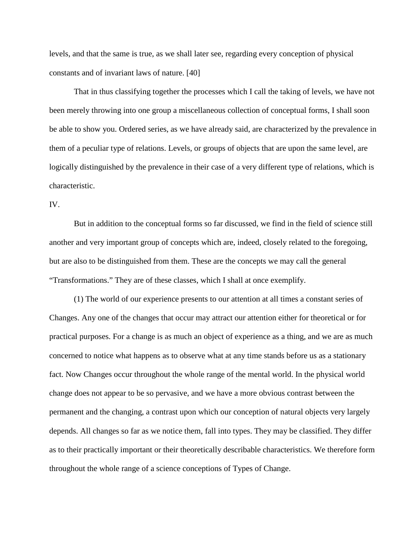levels, and that the same is true, as we shall later see, regarding every conception of physical constants and of invariant laws of nature. [40]

That in thus classifying together the processes which I call the taking of levels, we have not been merely throwing into one group a miscellaneous collection of conceptual forms, I shall soon be able to show you. Ordered series, as we have already said, are characterized by the prevalence in them of a peculiar type of relations. Levels, or groups of objects that are upon the same level, are logically distinguished by the prevalence in their case of a very different type of relations, which is characteristic.

#### IV.

But in addition to the conceptual forms so far discussed, we find in the field of science still another and very important group of concepts which are, indeed, closely related to the foregoing, but are also to be distinguished from them. These are the concepts we may call the general "Transformations." They are of these classes, which I shall at once exemplify.

(1) The world of our experience presents to our attention at all times a constant series of Changes. Any one of the changes that occur may attract our attention either for theoretical or for practical purposes. For a change is as much an object of experience as a thing, and we are as much concerned to notice what happens as to observe what at any time stands before us as a stationary fact. Now Changes occur throughout the whole range of the mental world. In the physical world change does not appear to be so pervasive, and we have a more obvious contrast between the permanent and the changing, a contrast upon which our conception of natural objects very largely depends. All changes so far as we notice them, fall into types. They may be classified. They differ as to their practically important or their theoretically describable characteristics. We therefore form throughout the whole range of a science conceptions of Types of Change.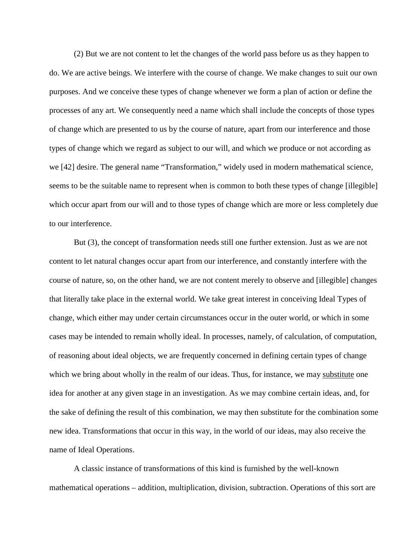(2) But we are not content to let the changes of the world pass before us as they happen to do. We are active beings. We interfere with the course of change. We make changes to suit our own purposes. And we conceive these types of change whenever we form a plan of action or define the processes of any art. We consequently need a name which shall include the concepts of those types of change which are presented to us by the course of nature, apart from our interference and those types of change which we regard as subject to our will, and which we produce or not according as we [42] desire. The general name "Transformation," widely used in modern mathematical science, seems to be the suitable name to represent when is common to both these types of change [illegible] which occur apart from our will and to those types of change which are more or less completely due to our interference.

But (3), the concept of transformation needs still one further extension. Just as we are not content to let natural changes occur apart from our interference, and constantly interfere with the course of nature, so, on the other hand, we are not content merely to observe and [illegible] changes that literally take place in the external world. We take great interest in conceiving Ideal Types of change, which either may under certain circumstances occur in the outer world, or which in some cases may be intended to remain wholly ideal. In processes, namely, of calculation, of computation, of reasoning about ideal objects, we are frequently concerned in defining certain types of change which we bring about wholly in the realm of our ideas. Thus, for instance, we may substitute one idea for another at any given stage in an investigation. As we may combine certain ideas, and, for the sake of defining the result of this combination, we may then substitute for the combination some new idea. Transformations that occur in this way, in the world of our ideas, may also receive the name of Ideal Operations.

A classic instance of transformations of this kind is furnished by the well-known mathematical operations – addition, multiplication, division, subtraction. Operations of this sort are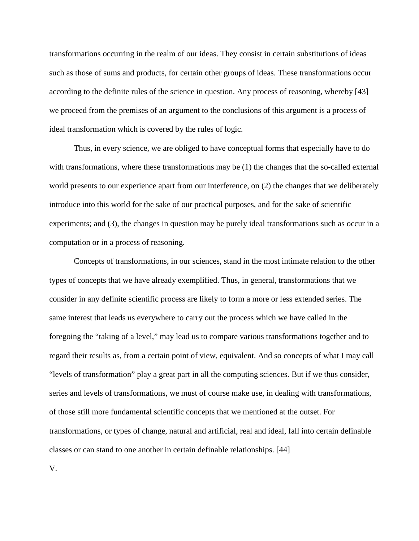transformations occurring in the realm of our ideas. They consist in certain substitutions of ideas such as those of sums and products, for certain other groups of ideas. These transformations occur according to the definite rules of the science in question. Any process of reasoning, whereby [43] we proceed from the premises of an argument to the conclusions of this argument is a process of ideal transformation which is covered by the rules of logic.

Thus, in every science, we are obliged to have conceptual forms that especially have to do with transformations, where these transformations may be (1) the changes that the so-called external world presents to our experience apart from our interference, on (2) the changes that we deliberately introduce into this world for the sake of our practical purposes, and for the sake of scientific experiments; and (3), the changes in question may be purely ideal transformations such as occur in a computation or in a process of reasoning.

Concepts of transformations, in our sciences, stand in the most intimate relation to the other types of concepts that we have already exemplified. Thus, in general, transformations that we consider in any definite scientific process are likely to form a more or less extended series. The same interest that leads us everywhere to carry out the process which we have called in the foregoing the "taking of a level," may lead us to compare various transformations together and to regard their results as, from a certain point of view, equivalent. And so concepts of what I may call "levels of transformation" play a great part in all the computing sciences. But if we thus consider, series and levels of transformations, we must of course make use, in dealing with transformations, of those still more fundamental scientific concepts that we mentioned at the outset. For transformations, or types of change, natural and artificial, real and ideal, fall into certain definable classes or can stand to one another in certain definable relationships. [44]

V.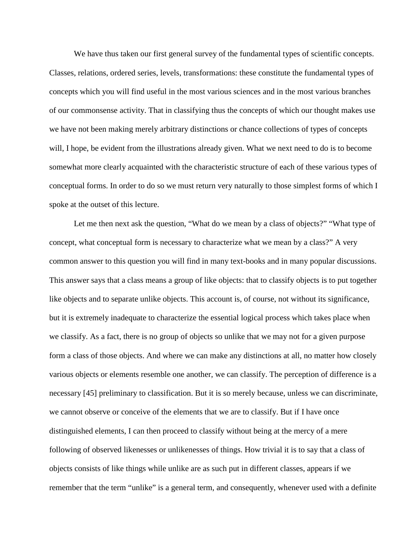We have thus taken our first general survey of the fundamental types of scientific concepts. Classes, relations, ordered series, levels, transformations: these constitute the fundamental types of concepts which you will find useful in the most various sciences and in the most various branches of our commonsense activity. That in classifying thus the concepts of which our thought makes use we have not been making merely arbitrary distinctions or chance collections of types of concepts will, I hope, be evident from the illustrations already given. What we next need to do is to become somewhat more clearly acquainted with the characteristic structure of each of these various types of conceptual forms. In order to do so we must return very naturally to those simplest forms of which I spoke at the outset of this lecture.

Let me then next ask the question, "What do we mean by a class of objects?" "What type of concept, what conceptual form is necessary to characterize what we mean by a class?" A very common answer to this question you will find in many text-books and in many popular discussions. This answer says that a class means a group of like objects: that to classify objects is to put together like objects and to separate unlike objects. This account is, of course, not without its significance, but it is extremely inadequate to characterize the essential logical process which takes place when we classify. As a fact, there is no group of objects so unlike that we may not for a given purpose form a class of those objects. And where we can make any distinctions at all, no matter how closely various objects or elements resemble one another, we can classify. The perception of difference is a necessary [45] preliminary to classification. But it is so merely because, unless we can discriminate, we cannot observe or conceive of the elements that we are to classify. But if I have once distinguished elements, I can then proceed to classify without being at the mercy of a mere following of observed likenesses or unlikenesses of things. How trivial it is to say that a class of objects consists of like things while unlike are as such put in different classes, appears if we remember that the term "unlike" is a general term, and consequently, whenever used with a definite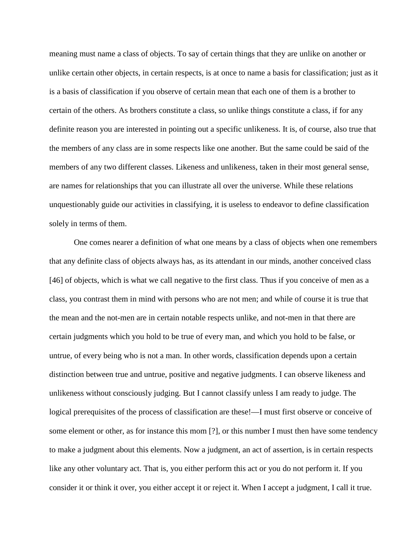meaning must name a class of objects. To say of certain things that they are unlike on another or unlike certain other objects, in certain respects, is at once to name a basis for classification; just as it is a basis of classification if you observe of certain mean that each one of them is a brother to certain of the others. As brothers constitute a class, so unlike things constitute a class, if for any definite reason you are interested in pointing out a specific unlikeness. It is, of course, also true that the members of any class are in some respects like one another. But the same could be said of the members of any two different classes. Likeness and unlikeness, taken in their most general sense, are names for relationships that you can illustrate all over the universe. While these relations unquestionably guide our activities in classifying, it is useless to endeavor to define classification solely in terms of them.

One comes nearer a definition of what one means by a class of objects when one remembers that any definite class of objects always has, as its attendant in our minds, another conceived class [46] of objects, which is what we call negative to the first class. Thus if you conceive of men as a class, you contrast them in mind with persons who are not men; and while of course it is true that the mean and the not-men are in certain notable respects unlike, and not-men in that there are certain judgments which you hold to be true of every man, and which you hold to be false, or untrue, of every being who is not a man. In other words, classification depends upon a certain distinction between true and untrue, positive and negative judgments. I can observe likeness and unlikeness without consciously judging. But I cannot classify unless I am ready to judge. The logical prerequisites of the process of classification are these!—I must first observe or conceive of some element or other, as for instance this mom [?], or this number I must then have some tendency to make a judgment about this elements. Now a judgment, an act of assertion, is in certain respects like any other voluntary act. That is, you either perform this act or you do not perform it. If you consider it or think it over, you either accept it or reject it. When I accept a judgment, I call it true.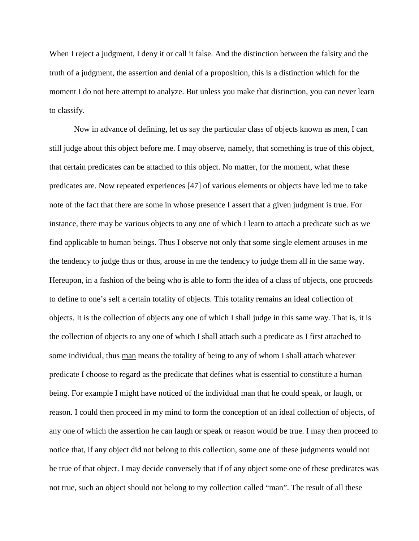When I reject a judgment, I deny it or call it false. And the distinction between the falsity and the truth of a judgment, the assertion and denial of a proposition, this is a distinction which for the moment I do not here attempt to analyze. But unless you make that distinction, you can never learn to classify.

Now in advance of defining, let us say the particular class of objects known as men, I can still judge about this object before me. I may observe, namely, that something is true of this object, that certain predicates can be attached to this object. No matter, for the moment, what these predicates are. Now repeated experiences [47] of various elements or objects have led me to take note of the fact that there are some in whose presence I assert that a given judgment is true. For instance, there may be various objects to any one of which I learn to attach a predicate such as we find applicable to human beings. Thus I observe not only that some single element arouses in me the tendency to judge thus or thus, arouse in me the tendency to judge them all in the same way. Hereupon, in a fashion of the being who is able to form the idea of a class of objects, one proceeds to define to one's self a certain totality of objects. This totality remains an ideal collection of objects. It is the collection of objects any one of which I shall judge in this same way. That is, it is the collection of objects to any one of which I shall attach such a predicate as I first attached to some individual, thus man means the totality of being to any of whom I shall attach whatever predicate I choose to regard as the predicate that defines what is essential to constitute a human being. For example I might have noticed of the individual man that he could speak, or laugh, or reason. I could then proceed in my mind to form the conception of an ideal collection of objects, of any one of which the assertion he can laugh or speak or reason would be true. I may then proceed to notice that, if any object did not belong to this collection, some one of these judgments would not be true of that object. I may decide conversely that if of any object some one of these predicates was not true, such an object should not belong to my collection called "man". The result of all these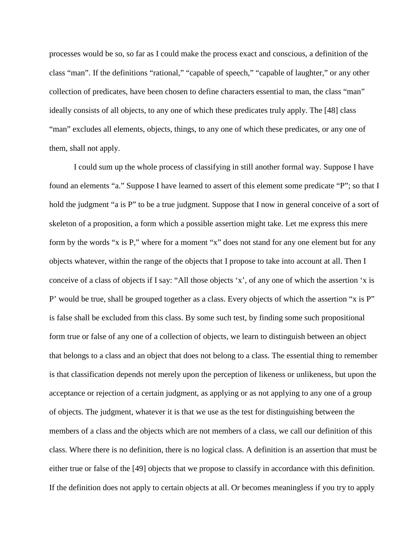processes would be so, so far as I could make the process exact and conscious, a definition of the class "man". If the definitions "rational," "capable of speech," "capable of laughter," or any other collection of predicates, have been chosen to define characters essential to man, the class "man" ideally consists of all objects, to any one of which these predicates truly apply. The [48] class "man" excludes all elements, objects, things, to any one of which these predicates, or any one of them, shall not apply.

I could sum up the whole process of classifying in still another formal way. Suppose I have found an elements "a." Suppose I have learned to assert of this element some predicate "P"; so that I hold the judgment "a is P" to be a true judgment. Suppose that I now in general conceive of a sort of skeleton of a proposition, a form which a possible assertion might take. Let me express this mere form by the words "x is P," where for a moment "x" does not stand for any one element but for any objects whatever, within the range of the objects that I propose to take into account at all. Then I conceive of a class of objects if I say: "All those objects 'x', of any one of which the assertion 'x is P' would be true, shall be grouped together as a class. Every objects of which the assertion "x is P" is false shall be excluded from this class. By some such test, by finding some such propositional form true or false of any one of a collection of objects, we learn to distinguish between an object that belongs to a class and an object that does not belong to a class. The essential thing to remember is that classification depends not merely upon the perception of likeness or unlikeness, but upon the acceptance or rejection of a certain judgment, as applying or as not applying to any one of a group of objects. The judgment, whatever it is that we use as the test for distinguishing between the members of a class and the objects which are not members of a class, we call our definition of this class. Where there is no definition, there is no logical class. A definition is an assertion that must be either true or false of the [49] objects that we propose to classify in accordance with this definition. If the definition does not apply to certain objects at all. Or becomes meaningless if you try to apply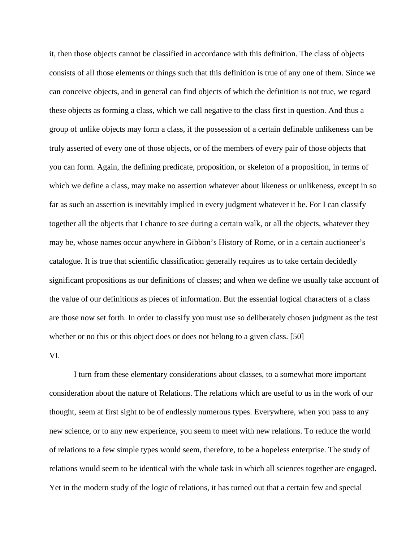it, then those objects cannot be classified in accordance with this definition. The class of objects consists of all those elements or things such that this definition is true of any one of them. Since we can conceive objects, and in general can find objects of which the definition is not true, we regard these objects as forming a class, which we call negative to the class first in question. And thus a group of unlike objects may form a class, if the possession of a certain definable unlikeness can be truly asserted of every one of those objects, or of the members of every pair of those objects that you can form. Again, the defining predicate, proposition, or skeleton of a proposition, in terms of which we define a class, may make no assertion whatever about likeness or unlikeness, except in so far as such an assertion is inevitably implied in every judgment whatever it be. For I can classify together all the objects that I chance to see during a certain walk, or all the objects, whatever they may be, whose names occur anywhere in Gibbon's History of Rome, or in a certain auctioneer's catalogue. It is true that scientific classification generally requires us to take certain decidedly significant propositions as our definitions of classes; and when we define we usually take account of the value of our definitions as pieces of information. But the essential logical characters of a class are those now set forth. In order to classify you must use so deliberately chosen judgment as the test whether or no this or this object does or does not belong to a given class. [50]

#### VI.

I turn from these elementary considerations about classes, to a somewhat more important consideration about the nature of Relations. The relations which are useful to us in the work of our thought, seem at first sight to be of endlessly numerous types. Everywhere, when you pass to any new science, or to any new experience, you seem to meet with new relations. To reduce the world of relations to a few simple types would seem, therefore, to be a hopeless enterprise. The study of relations would seem to be identical with the whole task in which all sciences together are engaged. Yet in the modern study of the logic of relations, it has turned out that a certain few and special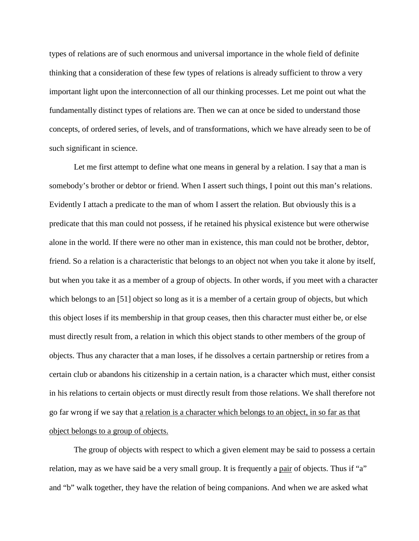types of relations are of such enormous and universal importance in the whole field of definite thinking that a consideration of these few types of relations is already sufficient to throw a very important light upon the interconnection of all our thinking processes. Let me point out what the fundamentally distinct types of relations are. Then we can at once be sided to understand those concepts, of ordered series, of levels, and of transformations, which we have already seen to be of such significant in science.

Let me first attempt to define what one means in general by a relation. I say that a man is somebody's brother or debtor or friend. When I assert such things, I point out this man's relations. Evidently I attach a predicate to the man of whom I assert the relation. But obviously this is a predicate that this man could not possess, if he retained his physical existence but were otherwise alone in the world. If there were no other man in existence, this man could not be brother, debtor, friend. So a relation is a characteristic that belongs to an object not when you take it alone by itself, but when you take it as a member of a group of objects. In other words, if you meet with a character which belongs to an [51] object so long as it is a member of a certain group of objects, but which this object loses if its membership in that group ceases, then this character must either be, or else must directly result from, a relation in which this object stands to other members of the group of objects. Thus any character that a man loses, if he dissolves a certain partnership or retires from a certain club or abandons his citizenship in a certain nation, is a character which must, either consist in his relations to certain objects or must directly result from those relations. We shall therefore not go far wrong if we say that a relation is a character which belongs to an object, in so far as that object belongs to a group of objects.

The group of objects with respect to which a given element may be said to possess a certain relation, may as we have said be a very small group. It is frequently a pair of objects. Thus if "a" and "b" walk together, they have the relation of being companions. And when we are asked what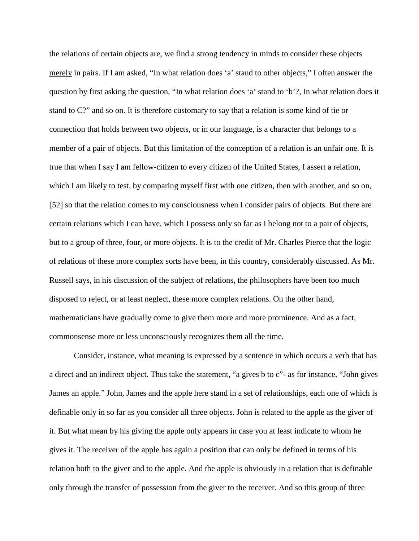the relations of certain objects are, we find a strong tendency in minds to consider these objects merely in pairs. If I am asked, "In what relation does 'a' stand to other objects," I often answer the question by first asking the question, "In what relation does 'a' stand to 'b'?, In what relation does it stand to C?" and so on. It is therefore customary to say that a relation is some kind of tie or connection that holds between two objects, or in our language, is a character that belongs to a member of a pair of objects. But this limitation of the conception of a relation is an unfair one. It is true that when I say I am fellow-citizen to every citizen of the United States, I assert a relation, which I am likely to test, by comparing myself first with one citizen, then with another, and so on, [52] so that the relation comes to my consciousness when I consider pairs of objects. But there are certain relations which I can have, which I possess only so far as I belong not to a pair of objects, but to a group of three, four, or more objects. It is to the credit of Mr. Charles Pierce that the logic of relations of these more complex sorts have been, in this country, considerably discussed. As Mr. Russell says, in his discussion of the subject of relations, the philosophers have been too much disposed to reject, or at least neglect, these more complex relations. On the other hand, mathematicians have gradually come to give them more and more prominence. And as a fact, commonsense more or less unconsciously recognizes them all the time.

Consider, instance, what meaning is expressed by a sentence in which occurs a verb that has a direct and an indirect object. Thus take the statement, "a gives b to c"- as for instance, "John gives James an apple." John, James and the apple here stand in a set of relationships, each one of which is definable only in so far as you consider all three objects. John is related to the apple as the giver of it. But what mean by his giving the apple only appears in case you at least indicate to whom he gives it. The receiver of the apple has again a position that can only be defined in terms of his relation both to the giver and to the apple. And the apple is obviously in a relation that is definable only through the transfer of possession from the giver to the receiver. And so this group of three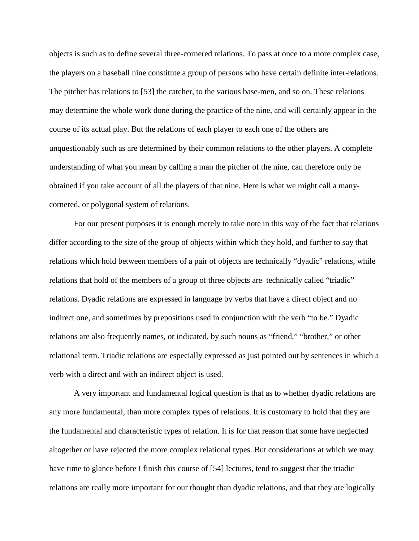objects is such as to define several three-cornered relations. To pass at once to a more complex case, the players on a baseball nine constitute a group of persons who have certain definite inter-relations. The pitcher has relations to [53] the catcher, to the various base-men, and so on. These relations may determine the whole work done during the practice of the nine, and will certainly appear in the course of its actual play. But the relations of each player to each one of the others are unquestionably such as are determined by their common relations to the other players. A complete understanding of what you mean by calling a man the pitcher of the nine, can therefore only be obtained if you take account of all the players of that nine. Here is what we might call a manycornered, or polygonal system of relations.

For our present purposes it is enough merely to take note in this way of the fact that relations differ according to the size of the group of objects within which they hold, and further to say that relations which hold between members of a pair of objects are technically "dyadic" relations, while relations that hold of the members of a group of three objects are technically called "triadic" relations. Dyadic relations are expressed in language by verbs that have a direct object and no indirect one, and sometimes by prepositions used in conjunction with the verb "to be." Dyadic relations are also frequently names, or indicated, by such nouns as "friend," "brother," or other relational term. Triadic relations are especially expressed as just pointed out by sentences in which a verb with a direct and with an indirect object is used.

A very important and fundamental logical question is that as to whether dyadic relations are any more fundamental, than more complex types of relations. It is customary to hold that they are the fundamental and characteristic types of relation. It is for that reason that some have neglected altogether or have rejected the more complex relational types. But considerations at which we may have time to glance before I finish this course of [54] lectures, tend to suggest that the triadic relations are really more important for our thought than dyadic relations, and that they are logically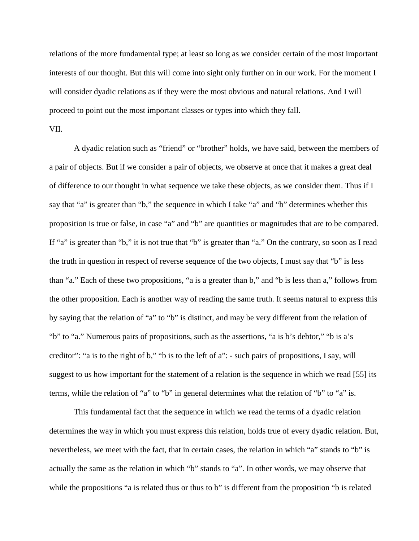relations of the more fundamental type; at least so long as we consider certain of the most important interests of our thought. But this will come into sight only further on in our work. For the moment I will consider dyadic relations as if they were the most obvious and natural relations. And I will proceed to point out the most important classes or types into which they fall.

## VII.

A dyadic relation such as "friend" or "brother" holds, we have said, between the members of a pair of objects. But if we consider a pair of objects, we observe at once that it makes a great deal of difference to our thought in what sequence we take these objects, as we consider them. Thus if I say that "a" is greater than "b," the sequence in which I take "a" and "b" determines whether this proposition is true or false, in case "a" and "b" are quantities or magnitudes that are to be compared. If "a" is greater than "b," it is not true that "b" is greater than "a." On the contrary, so soon as I read the truth in question in respect of reverse sequence of the two objects, I must say that "b" is less than "a." Each of these two propositions, "a is a greater than b," and "b is less than a," follows from the other proposition. Each is another way of reading the same truth. It seems natural to express this by saying that the relation of "a" to "b" is distinct, and may be very different from the relation of "b" to "a." Numerous pairs of propositions, such as the assertions, "a is b's debtor," "b is a's creditor": "a is to the right of b," "b is to the left of a": - such pairs of propositions, I say, will suggest to us how important for the statement of a relation is the sequence in which we read [55] its terms, while the relation of "a" to "b" in general determines what the relation of "b" to "a" is.

This fundamental fact that the sequence in which we read the terms of a dyadic relation determines the way in which you must express this relation, holds true of every dyadic relation. But, nevertheless, we meet with the fact, that in certain cases, the relation in which "a" stands to "b" is actually the same as the relation in which "b" stands to "a". In other words, we may observe that while the propositions "a is related thus or thus to b" is different from the proposition "b is related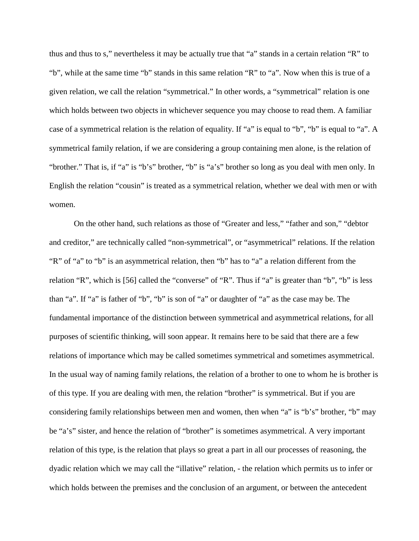thus and thus to s," nevertheless it may be actually true that "a" stands in a certain relation "R" to "b", while at the same time "b" stands in this same relation "R" to "a". Now when this is true of a given relation, we call the relation "symmetrical." In other words, a "symmetrical" relation is one which holds between two objects in whichever sequence you may choose to read them. A familiar case of a symmetrical relation is the relation of equality. If "a" is equal to "b", "b" is equal to "a". A symmetrical family relation, if we are considering a group containing men alone, is the relation of "brother." That is, if "a" is "b's" brother, "b" is "a's" brother so long as you deal with men only. In English the relation "cousin" is treated as a symmetrical relation, whether we deal with men or with women.

On the other hand, such relations as those of "Greater and less," "father and son," "debtor and creditor," are technically called "non-symmetrical", or "asymmetrical" relations. If the relation "R" of "a" to "b" is an asymmetrical relation, then "b" has to "a" a relation different from the relation "R", which is [56] called the "converse" of "R". Thus if "a" is greater than "b", "b" is less than "a". If "a" is father of "b", "b" is son of "a" or daughter of "a" as the case may be. The fundamental importance of the distinction between symmetrical and asymmetrical relations, for all purposes of scientific thinking, will soon appear. It remains here to be said that there are a few relations of importance which may be called sometimes symmetrical and sometimes asymmetrical. In the usual way of naming family relations, the relation of a brother to one to whom he is brother is of this type. If you are dealing with men, the relation "brother" is symmetrical. But if you are considering family relationships between men and women, then when "a" is "b's" brother, "b" may be "a's" sister, and hence the relation of "brother" is sometimes asymmetrical. A very important relation of this type, is the relation that plays so great a part in all our processes of reasoning, the dyadic relation which we may call the "illative" relation, - the relation which permits us to infer or which holds between the premises and the conclusion of an argument, or between the antecedent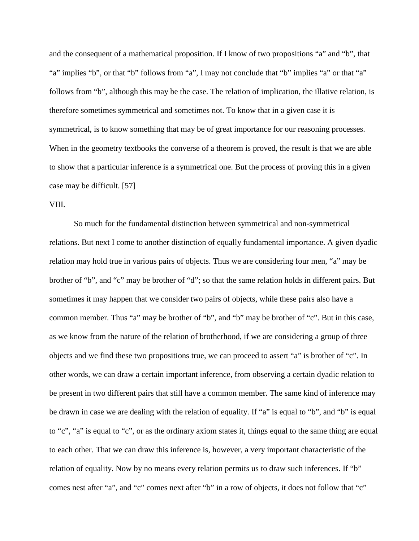and the consequent of a mathematical proposition. If I know of two propositions "a" and "b", that "a" implies "b", or that "b" follows from "a", I may not conclude that "b" implies "a" or that "a" follows from "b", although this may be the case. The relation of implication, the illative relation, is therefore sometimes symmetrical and sometimes not. To know that in a given case it is symmetrical, is to know something that may be of great importance for our reasoning processes. When in the geometry textbooks the converse of a theorem is proved, the result is that we are able to show that a particular inference is a symmetrical one. But the process of proving this in a given case may be difficult. [57]

## VIII.

So much for the fundamental distinction between symmetrical and non-symmetrical relations. But next I come to another distinction of equally fundamental importance. A given dyadic relation may hold true in various pairs of objects. Thus we are considering four men, "a" may be brother of "b", and "c" may be brother of "d"; so that the same relation holds in different pairs. But sometimes it may happen that we consider two pairs of objects, while these pairs also have a common member. Thus "a" may be brother of "b", and "b" may be brother of "c". But in this case, as we know from the nature of the relation of brotherhood, if we are considering a group of three objects and we find these two propositions true, we can proceed to assert "a" is brother of "c". In other words, we can draw a certain important inference, from observing a certain dyadic relation to be present in two different pairs that still have a common member. The same kind of inference may be drawn in case we are dealing with the relation of equality. If "a" is equal to "b", and "b" is equal to "c", "a" is equal to "c", or as the ordinary axiom states it, things equal to the same thing are equal to each other. That we can draw this inference is, however, a very important characteristic of the relation of equality. Now by no means every relation permits us to draw such inferences. If "b" comes nest after "a", and "c" comes next after "b" in a row of objects, it does not follow that "c"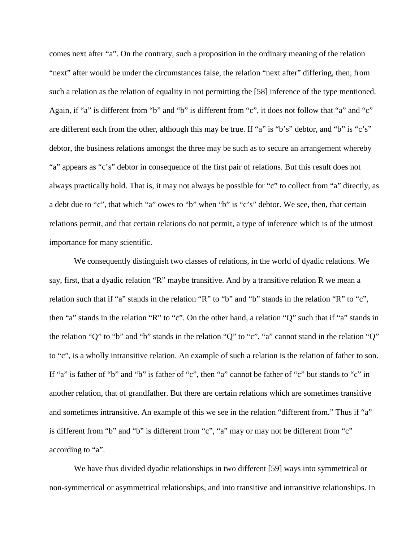comes next after "a". On the contrary, such a proposition in the ordinary meaning of the relation "next" after would be under the circumstances false, the relation "next after" differing, then, from such a relation as the relation of equality in not permitting the [58] inference of the type mentioned. Again, if "a" is different from "b" and "b" is different from "c", it does not follow that "a" and "c" are different each from the other, although this may be true. If "a" is "b's" debtor, and "b" is "c's" debtor, the business relations amongst the three may be such as to secure an arrangement whereby "a" appears as "c's" debtor in consequence of the first pair of relations. But this result does not always practically hold. That is, it may not always be possible for "c" to collect from "a" directly, as a debt due to "c", that which "a" owes to "b" when "b" is "c's" debtor. We see, then, that certain relations permit, and that certain relations do not permit, a type of inference which is of the utmost importance for many scientific.

We consequently distinguish two classes of relations, in the world of dyadic relations. We say, first, that a dyadic relation "R" maybe transitive. And by a transitive relation R we mean a relation such that if "a" stands in the relation "R" to "b" and "b" stands in the relation "R" to "c", then "a" stands in the relation "R" to "c". On the other hand, a relation "Q" such that if "a" stands in the relation "Q" to "b" and "b" stands in the relation "Q" to "c", "a" cannot stand in the relation "Q" to "c", is a wholly intransitive relation. An example of such a relation is the relation of father to son. If "a" is father of "b" and "b" is father of "c", then "a" cannot be father of "c" but stands to "c" in another relation, that of grandfather. But there are certain relations which are sometimes transitive and sometimes intransitive. An example of this we see in the relation "different from." Thus if "a" is different from "b" and "b" is different from "c", "a" may or may not be different from "c" according to "a".

We have thus divided dyadic relationships in two different [59] ways into symmetrical or non-symmetrical or asymmetrical relationships, and into transitive and intransitive relationships. In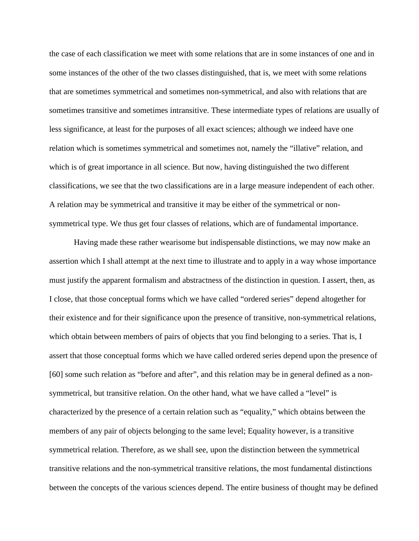the case of each classification we meet with some relations that are in some instances of one and in some instances of the other of the two classes distinguished, that is, we meet with some relations that are sometimes symmetrical and sometimes non-symmetrical, and also with relations that are sometimes transitive and sometimes intransitive. These intermediate types of relations are usually of less significance, at least for the purposes of all exact sciences; although we indeed have one relation which is sometimes symmetrical and sometimes not, namely the "illative" relation, and which is of great importance in all science. But now, having distinguished the two different classifications, we see that the two classifications are in a large measure independent of each other. A relation may be symmetrical and transitive it may be either of the symmetrical or nonsymmetrical type. We thus get four classes of relations, which are of fundamental importance.

Having made these rather wearisome but indispensable distinctions, we may now make an assertion which I shall attempt at the next time to illustrate and to apply in a way whose importance must justify the apparent formalism and abstractness of the distinction in question. I assert, then, as I close, that those conceptual forms which we have called "ordered series" depend altogether for their existence and for their significance upon the presence of transitive, non-symmetrical relations, which obtain between members of pairs of objects that you find belonging to a series. That is, I assert that those conceptual forms which we have called ordered series depend upon the presence of [60] some such relation as "before and after", and this relation may be in general defined as a nonsymmetrical, but transitive relation. On the other hand, what we have called a "level" is characterized by the presence of a certain relation such as "equality," which obtains between the members of any pair of objects belonging to the same level; Equality however, is a transitive symmetrical relation. Therefore, as we shall see, upon the distinction between the symmetrical transitive relations and the non-symmetrical transitive relations, the most fundamental distinctions between the concepts of the various sciences depend. The entire business of thought may be defined